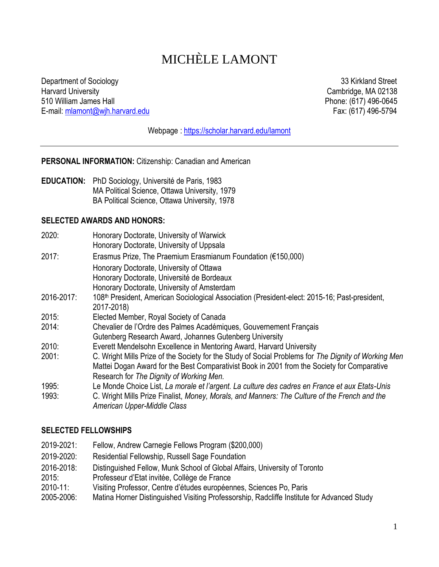# MICHÈLE LAMONT

Department of Sociology 33 Kirkland Street<br>
Harvard University Cambridge, MA 02138 510 William James Hall **E-mail:** milamont@wih.harvard.edu<br>
E-mail: milamont@wih.harvard.edu **Phone: (617) 496-5794** E-mail: [mlamont@wjh.harvard.edu](mailto:mlamont@wjh.harvard.edu)

Cambridge, MA 02138

Webpage :<https://scholar.harvard.edu/lamont>

**PERSONAL INFORMATION:** Citizenship: Canadian and American

**EDUCATION:** PhD Sociology, Université de Paris, 1983 MA Political Science, Ottawa University, 1979 BA Political Science, Ottawa University, 1978

#### **SELECTED AWARDS AND HONORS:**

| 2020:      | Honorary Doctorate, University of Warwick<br>Honorary Doctorate, University of Uppsala                                       |
|------------|------------------------------------------------------------------------------------------------------------------------------|
| 2017:      | Erasmus Prize, The Praemium Erasmianum Foundation ( $€150,000$ )                                                             |
|            | Honorary Doctorate, University of Ottawa                                                                                     |
|            | Honorary Doctorate, Université de Bordeaux                                                                                   |
|            | Honorary Doctorate, University of Amsterdam                                                                                  |
| 2016-2017: | 108 <sup>th</sup> President, American Sociological Association (President-elect: 2015-16; Past-president,<br>2017-2018)      |
| 2015:      | Elected Member, Royal Society of Canada                                                                                      |
| 2014:      | Chevalier de l'Ordre des Palmes Académiques, Gouvernement Français                                                           |
|            | Gutenberg Research Award, Johannes Gutenberg University                                                                      |
| 2010:      | Everett Mendelsohn Excellence in Mentoring Award, Harvard University                                                         |
| 2001:      | C. Wright Mills Prize of the Society for the Study of Social Problems for The Dignity of Working Men                         |
|            | Mattei Dogan Award for the Best Comparativist Book in 2001 from the Society for Comparative                                  |
|            | Research for The Dignity of Working Men.                                                                                     |
| 1995:      | Le Monde Choice List, La morale et l'argent. La culture des cadres en France et aux Etats-Unis                               |
| 1993:      | C. Wright Mills Prize Finalist, Money, Morals, and Manners: The Culture of the French and the<br>American Upper-Middle Class |

#### **SELECTED FELLOWSHIPS**

| 2019-2021: | Fellow, Andrew Carnegie Fellows Program (\$200,000)                                        |
|------------|--------------------------------------------------------------------------------------------|
| 2019-2020: | <b>Residential Fellowship, Russell Sage Foundation</b>                                     |
| 2016-2018: | Distinguished Fellow, Munk School of Global Affairs, University of Toronto                 |
| 2015:      | Professeur d'Etat invitée, Collège de France                                               |
| 2010-11:   | Visiting Professor, Centre d'études européennes, Sciences Po, Paris                        |
| 2005-2006: | Matina Horner Distinguished Visiting Professorship, Radcliffe Institute for Advanced Study |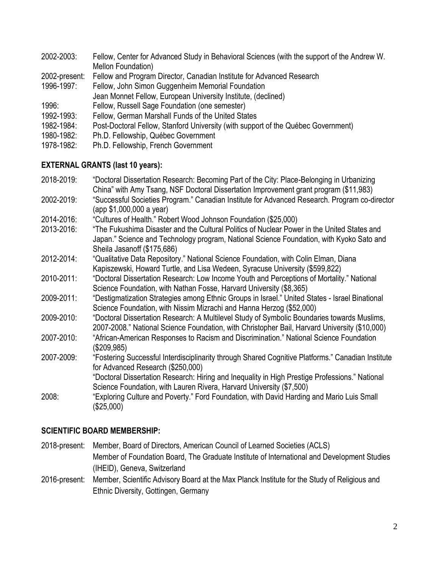| 2002-2003:    | Fellow, Center for Advanced Study in Behavioral Sciences (with the support of the Andrew W. |
|---------------|---------------------------------------------------------------------------------------------|
|               | Mellon Foundation)                                                                          |
| 2002-present: | Fellow and Program Director, Canadian Institute for Advanced Research                       |
| 1996-1997:    | Fellow, John Simon Guggenheim Memorial Foundation                                           |
|               | Jean Monnet Fellow, European University Institute, (declined)                               |
| 1996:         | Fellow, Russell Sage Foundation (one semester)                                              |
| 1992-1993:    | Fellow, German Marshall Funds of the United States                                          |
| 1982-1984:    | Post-Doctoral Fellow, Stanford University (with support of the Québec Government)           |
| 1980-1982:    | Ph.D. Fellowship, Québec Government                                                         |

1978-1982: Ph.D. Fellowship, French Government

# **EXTERNAL GRANTS (last 10 years):**

| 2018-2019: | "Doctoral Dissertation Research: Becoming Part of the City: Place-Belonging in Urbanizing     |
|------------|-----------------------------------------------------------------------------------------------|
|            | China" with Amy Tsang, NSF Doctoral Dissertation Improvement grant program (\$11,983)         |
| 2002-2019: | "Successful Societies Program." Canadian Institute for Advanced Research. Program co-director |

(app \$1,000,000 a year)

- 2014-2016: "Cultures of Health." Robert Wood Johnson Foundation (\$25,000)
- 2013-2016: "The Fukushima Disaster and the Cultural Politics of Nuclear Power in the United States and Japan." Science and Technology program, National Science Foundation, with Kyoko Sato and Sheila Jasanoff (\$175,686)
- 2012-2014: "Qualitative Data Repository." National Science Foundation, with Colin Elman, Diana Kapiszewski, Howard Turtle, and Lisa Wedeen, Syracuse University (\$599,822)
- 2010-2011: "Doctoral Dissertation Research: Low Income Youth and Perceptions of Mortality." National Science Foundation, with Nathan Fosse, Harvard University (\$8,365)
- 2009-2011: "Destigmatization Strategies among Ethnic Groups in Israel." United States Israel Binational Science Foundation, with Nissim Mizrachi and Hanna Herzog (\$52,000)
- 2009-2010: "Doctoral Dissertation Research: A Multilevel Study of Symbolic Boundaries towards Muslims, 2007-2008." National Science Foundation, with Christopher Bail, Harvard University (\$10,000)
- 2007-2010: "African-American Responses to Racism and Discrimination." National Science Foundation (\$209,985)
- 2007-2009: "Fostering Successful Interdisciplinarity through Shared Cognitive Platforms." Canadian Institute for Advanced Research (\$250,000)
	- "Doctoral Dissertation Research: Hiring and Inequality in High Prestige Professions." National Science Foundation, with Lauren Rivera, Harvard University (\$7,500)
- 2008: "Exploring Culture and Poverty." Ford Foundation, with David Harding and Mario Luis Small (\$25,000)

# **SCIENTIFIC BOARD MEMBERSHIP:**

- 2018-present: Member, Board of Directors, American Council of Learned Societies (ACLS) Member of Foundation Board, The Graduate Institute of International and Development Studies (IHEID), Geneva, Switzerland
- 2016-present: Member, Scientific Advisory Board at the Max Planck Institute for the Study of Religious and Ethnic Diversity, Gottingen, Germany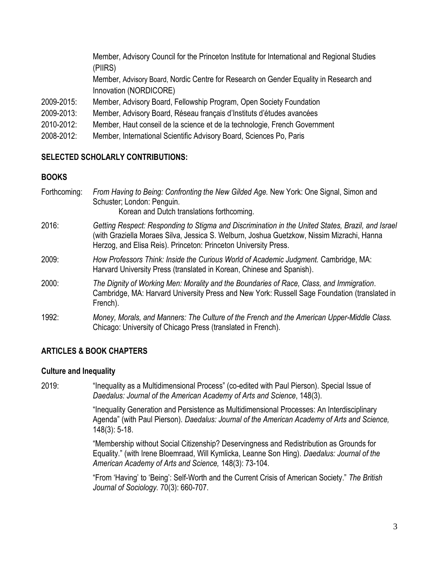Member, Advisory Council for the Princeton Institute for International and Regional Studies (PIIRS) Member, Advisory Board, Nordic Centre for Research on Gender Equality in Research and Innovation (NORDICORE)

- 2009-2015: Member, Advisory Board, Fellowship Program, Open Society Foundation
- 2009-2013: Member, Advisory Board, Réseau français d'Instituts d'études avancées
- 2010-2012: Member, Haut conseil de la science et de la technologie, French Government
- 2008-2012: Member, International Scientific Advisory Board, Sciences Po, Paris

# **SELECTED SCHOLARLY CONTRIBUTIONS:**

# **BOOKS**

| Forthcoming: | From Having to Being: Confronting the New Gilded Age. New York: One Signal, Simon and<br>Schuster; London: Penguin.<br>Korean and Dutch translations forthcoming.                                                                                                 |
|--------------|-------------------------------------------------------------------------------------------------------------------------------------------------------------------------------------------------------------------------------------------------------------------|
| 2016:        | Getting Respect: Responding to Stigma and Discrimination in the United States, Brazil, and Israel<br>(with Graziella Moraes Silva, Jessica S. Welburn, Joshua Guetzkow, Nissim Mizrachi, Hanna<br>Herzog, and Elisa Reis). Princeton: Princeton University Press. |
| 2009:        | How Professors Think: Inside the Curious World of Academic Judgment. Cambridge, MA:<br>Harvard University Press (translated in Korean, Chinese and Spanish).                                                                                                      |
| 2000:        | The Dignity of Working Men: Morality and the Boundaries of Race, Class, and Immigration.<br>Cambridge, MA: Harvard University Press and New York: Russell Sage Foundation (translated in<br>French).                                                              |
| 1992:        | Money, Morals, and Manners: The Culture of the French and the American Upper-Middle Class.<br>Chicago: University of Chicago Press (translated in French).                                                                                                        |

# **ARTICLES & BOOK CHAPTERS**

# **Culture and Inequality**

2019: "Inequality as a Multidimensional Process" (co-edited with Paul Pierson). Special Issue of *Daedalus: Journal of the American Academy of Arts and Science*, 148(3).

> "Inequality Generation and Persistence as Multidimensional Processes: An Interdisciplinary Agenda" (with Paul Pierson). *Daedalus: Journal of the American Academy of Arts and Science,* 148(3): 5-18.

"Membership without Social Citizenship? Deservingness and Redistribution as Grounds for Equality." (with Irene Bloemraad, Will Kymlicka, Leanne Son Hing). *Daedalus: Journal of the American Academy of Arts and Science,* 148(3): 73-104.

"From 'Having' to 'Being': Self-Worth and the Current Crisis of American Society." *The British Journal of Sociology.* 70(3): 660-707.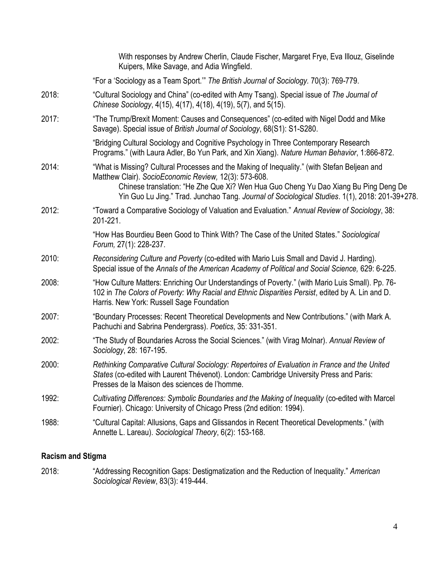|       | With responses by Andrew Cherlin, Claude Fischer, Margaret Frye, Eva Illouz, Giselinde<br>Kuipers, Mike Savage, and Adia Wingfield.                                                                                                                                                                                                            |
|-------|------------------------------------------------------------------------------------------------------------------------------------------------------------------------------------------------------------------------------------------------------------------------------------------------------------------------------------------------|
|       | "For a 'Sociology as a Team Sport." The British Journal of Sociology. 70(3): 769-779.                                                                                                                                                                                                                                                          |
| 2018: | "Cultural Sociology and China" (co-edited with Amy Tsang). Special issue of The Journal of<br>Chinese Sociology, 4(15), 4(17), 4(18), 4(19), 5(7), and 5(15).                                                                                                                                                                                  |
| 2017: | "The Trump/Brexit Moment: Causes and Consequences" (co-edited with Nigel Dodd and Mike<br>Savage). Special issue of British Journal of Sociology, 68(S1): S1-S280.                                                                                                                                                                             |
|       | "Bridging Cultural Sociology and Cognitive Psychology in Three Contemporary Research<br>Programs." (with Laura Adler, Bo Yun Park, and Xin Xiang). Nature Human Behavior, 1:866-872.                                                                                                                                                           |
| 2014: | "What is Missing? Cultural Processes and the Making of Inequality." (with Stefan Beljean and<br>Matthew Clair). SocioEconomic Review, 12(3): 573-608.<br>Chinese translation: "He Zhe Que Xi? Wen Hua Guo Cheng Yu Dao Xiang Bu Ping Deng De<br>Yin Guo Lu Jing." Trad. Junchao Tang. Journal of Sociological Studies. 1(1), 2018: 201-39+278. |
| 2012: | "Toward a Comparative Sociology of Valuation and Evaluation." Annual Review of Sociology, 38:<br>201-221.                                                                                                                                                                                                                                      |
|       | "How Has Bourdieu Been Good to Think With? The Case of the United States." Sociological<br>Forum, 27(1): 228-237.                                                                                                                                                                                                                              |
| 2010: | Reconsidering Culture and Poverty (co-edited with Mario Luis Small and David J. Harding).<br>Special issue of the Annals of the American Academy of Political and Social Science, 629: 6-225.                                                                                                                                                  |
| 2008: | "How Culture Matters: Enriching Our Understandings of Poverty." (with Mario Luis Small). Pp. 76-<br>102 in The Colors of Poverty: Why Racial and Ethnic Disparities Persist, edited by A. Lin and D.<br>Harris. New York: Russell Sage Foundation                                                                                              |
| 2007: | "Boundary Processes: Recent Theoretical Developments and New Contributions." (with Mark A.<br>Pachuchi and Sabrina Pendergrass). Poetics, 35: 331-351.                                                                                                                                                                                         |
| 2002: | "The Study of Boundaries Across the Social Sciences." (with Virag Molnar). Annual Review of<br>Sociology, 28: 167-195.                                                                                                                                                                                                                         |
| 2000: | Rethinking Comparative Cultural Sociology: Repertoires of Evaluation in France and the United<br>States (co-edited with Laurent Thévenot). London: Cambridge University Press and Paris:<br>Presses de la Maison des sciences de l'homme.                                                                                                      |
| 1992: | Cultivating Differences: Symbolic Boundaries and the Making of Inequality (co-edited with Marcel<br>Fournier). Chicago: University of Chicago Press (2nd edition: 1994).                                                                                                                                                                       |
| 1988: | "Cultural Capital: Allusions, Gaps and Glissandos in Recent Theoretical Developments." (with<br>Annette L. Lareau). Sociological Theory, 6(2): 153-168.                                                                                                                                                                                        |
|       |                                                                                                                                                                                                                                                                                                                                                |

# **Racism and Stigma**

2018: "Addressing Recognition Gaps: Destigmatization and the Reduction of Inequality." *American Sociological Review*, 83(3): 419-444.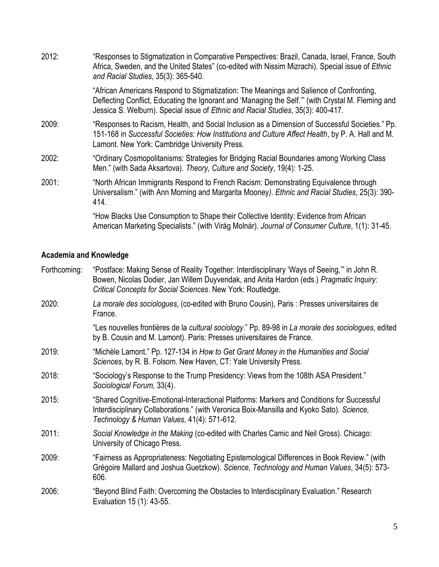| 2012: | "Responses to Stigmatization in Comparative Perspectives: Brazil, Canada, Israel, France, South<br>Africa, Sweden, and the United States" (co-edited with Nissim Mizrachi). Special issue of Ethnic<br>and Racial Studies, 35(3): 365-540.                                       |
|-------|----------------------------------------------------------------------------------------------------------------------------------------------------------------------------------------------------------------------------------------------------------------------------------|
|       | "African Americans Respond to Stigmatization: The Meanings and Salience of Confronting,<br>Deflecting Conflict, Educating the Ignorant and 'Managing the Self." (with Crystal M. Fleming and<br>Jessica S. Welburn). Special issue of Ethnic and Racial Studies, 35(3): 400-417. |
| 2009: | "Responses to Racism, Health, and Social Inclusion as a Dimension of Successful Societies." Pp.<br>151-168 in Successful Societies: How Institutions and Culture Affect Health, by P. A. Hall and M.<br>Lamont. New York: Cambridge University Press.                            |
| 2002: | "Ordinary Cosmopolitanisms: Strategies for Bridging Racial Boundaries among Working Class<br>Men." (with Sada Aksartova). Theory, Culture and Society, 19(4): 1-25.                                                                                                              |
| 2001: | "North African Immigrants Respond to French Racism: Demonstrating Equivalence through<br>Universalism." (with Ann Morning and Margarita Mooney). Ethnic and Racial Studies, 25(3): 390-<br>414.                                                                                  |
|       | "How Blacks Use Consumption to Shape their Collective Identity: Evidence from African<br>American Marketing Specialists." (with Virág Molnár). Journal of Consumer Culture, 1(1): 31-45.                                                                                         |

# **Academia and Knowledge**

| Forthcoming: | "Postface: Making Sense of Reality Together: Interdisciplinary 'Ways of Seeing," in John R.<br>Bowen, Nicolas Dodier, Jan Willem Duyvendak, and Anita Hardon (eds.) Pragmatic Inquiry:<br>Critical Concepts for Social Sciences. New York: Routledge. |
|--------------|-------------------------------------------------------------------------------------------------------------------------------------------------------------------------------------------------------------------------------------------------------|
| 2020:        | La morale des sociologues, (co-edited with Bruno Cousin), Paris : Presses universitaires de<br>France.                                                                                                                                                |
|              | "Les nouvelles frontières de la cultural sociology." Pp. 89-98 in La morale des sociologues, edited<br>by B. Cousin and M. Lamont). Paris: Presses universitaires de France.                                                                          |
| 2019:        | "Michèle Lamont." Pp. 127-134 in How to Get Grant Money in the Humanities and Social<br>Sciences, by R. B. Folsom. New Haven, CT: Yale University Press.                                                                                              |
| 2018:        | "Sociology's Response to the Trump Presidency: Views from the 108th ASA President."<br>Sociological Forum, 33(4).                                                                                                                                     |
| 2015:        | "Shared Cognitive-Emotional-Interactional Platforms: Markers and Conditions for Successful<br>Interdisciplinary Collaborations." (with Veronica Boix-Mansilla and Kyoko Sato). Science,<br>Technology & Human Values, 41(4): 571-612.                 |
| 2011:        | Social Knowledge in the Making (co-edited with Charles Camic and Neil Gross). Chicago:<br>University of Chicago Press.                                                                                                                                |
| 2009:        | "Fairness as Appropriateness: Negotiating Epistemological Differences in Book Review." (with<br>Grégoire Mallard and Joshua Guetzkow). Science, Technology and Human Values, 34(5): 573-<br>606.                                                      |
| 2006:        | "Beyond Blind Faith: Overcoming the Obstacles to Interdisciplinary Evaluation." Research<br>Evaluation 15 (1): 43-55.                                                                                                                                 |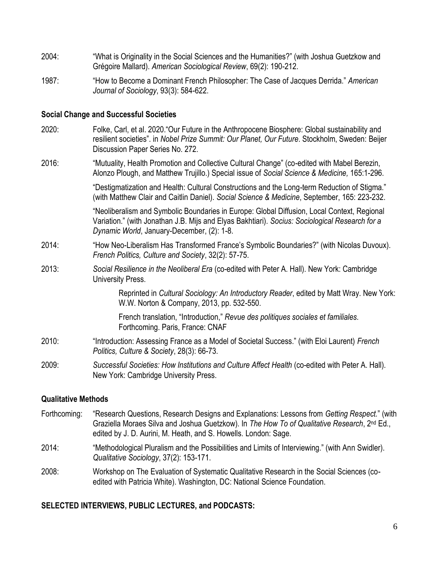- 2004: "What is Originality in the Social Sciences and the Humanities?" (with Joshua Guetzkow and Grégoire Mallard). *American Sociological Review*, 69(2): 190-212.
- 1987: "How to Become a Dominant French Philosopher: The Case of Jacques Derrida." *American Journal of Sociology*, 93(3): 584-622.

#### **Social Change and Successful Societies**

- 2020: Folke, Carl, et al. 2020."Our Future in the Anthropocene Biosphere: Global sustainability and resilient societies". in *Nobel Prize Summit: Our Planet, Our Future*. Stockholm, Sweden: Beijer Discussion Paper Series No. 272.
- 2016: "Mutuality, Health Promotion and Collective Cultural Change" (co-edited with Mabel Berezin, Alonzo Plough, and Matthew Trujillo.) Special issue of *Social Science & Medicine,* 165:1-296.

"Destigmatization and Health: Cultural Constructions and the Long-term Reduction of Stigma." (with Matthew Clair and Caitlin Daniel). *Social Science & Medicine*, September, 165: 223-232.

"Neoliberalism and Symbolic Boundaries in Europe: Global Diffusion, Local Context, Regional Variation." (with Jonathan J.B. Mijs and Elyas Bakhtiari). *Socius: Sociological Research for a Dynamic World*, January-December, (2): 1-8.

- 2014: "How Neo-Liberalism Has Transformed France's Symbolic Boundaries?" (with Nicolas Duvoux). *French Politics, Culture and Society*, 32(2): 57-75.
- 2013: *Social Resilience in the Neoliberal Era* (co-edited with Peter A. Hall). New York: Cambridge University Press.

Reprinted in *Cultural Sociology: An Introductory Reader*, edited by Matt Wray. New York: W.W. Norton & Company, 2013, pp. 532-550.

French translation, "Introduction," *Revue des politiques sociales et familiales.* Forthcoming. Paris, France: CNAF

- 2010: "Introduction: Assessing France as a Model of Societal Success." (with Eloi Laurent) *French Politics, Culture & Society*, 28(3): 66-73.
- 2009: *Successful Societies: How Institutions and Culture Affect Health* (co-edited with Peter A. Hall). New York: Cambridge University Press.

# **Qualitative Methods**

- Forthcoming: "Research Questions, Research Designs and Explanations: Lessons from *Getting Respect.*" (with Graziella Moraes Silva and Joshua Guetzkow). In *The How To of Qualitative Research*, 2nd Ed., edited by J. D. Aurini, M. Heath, and S. Howells. London: Sage.
- 2014: "Methodological Pluralism and the Possibilities and Limits of Interviewing." (with Ann Swidler). *Qualitative Sociology*, 37(2): 153-171.
- 2008: Workshop on The Evaluation of Systematic Qualitative Research in the Social Sciences (coedited with Patricia White). Washington, DC: National Science Foundation.

# **SELECTED INTERVIEWS, PUBLIC LECTURES, and PODCASTS:**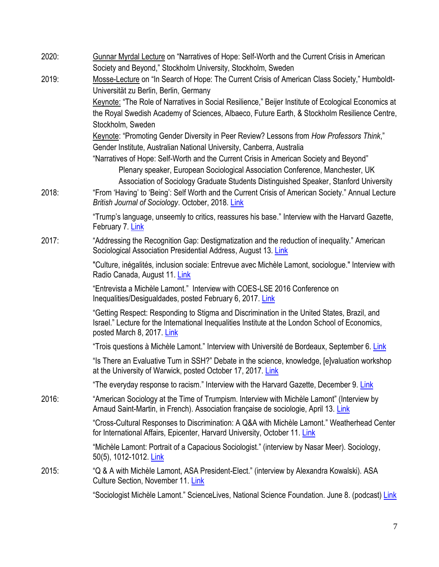| 2020: | Gunnar Myrdal Lecture on "Narratives of Hope: Self-Worth and the Current Crisis in American                                                                                                                                                                                                                                                                                                                                           |
|-------|---------------------------------------------------------------------------------------------------------------------------------------------------------------------------------------------------------------------------------------------------------------------------------------------------------------------------------------------------------------------------------------------------------------------------------------|
| 2019: | Society and Beyond," Stockholm University, Stockholm, Sweden<br>Mosse-Lecture on "In Search of Hope: The Current Crisis of American Class Society," Humboldt-                                                                                                                                                                                                                                                                         |
|       | Universität zu Berlin, Berlin, Germany<br>Keynote: "The Role of Narratives in Social Resilience," Beijer Institute of Ecological Economics at<br>the Royal Swedish Academy of Sciences, Albaeco, Future Earth, & Stockholm Resilience Centre,<br>Stockholm, Sweden                                                                                                                                                                    |
|       | Keynote: "Promoting Gender Diversity in Peer Review? Lessons from How Professors Think,"<br>Gender Institute, Australian National University, Canberra, Australia<br>"Narratives of Hope: Self-Worth and the Current Crisis in American Society and Beyond"<br>Plenary speaker, European Sociological Association Conference, Manchester, UK<br>Association of Sociology Graduate Students Distinguished Speaker, Stanford University |
| 2018: | "From 'Having' to 'Being': Self Worth and the Current Crisis of American Society." Annual Lecture<br>British Journal of Sociology. October, 2018. Link                                                                                                                                                                                                                                                                                |
|       | "Trump's language, unseemly to critics, reassures his base." Interview with the Harvard Gazette,<br>February 7. Link                                                                                                                                                                                                                                                                                                                  |
| 2017: | "Addressing the Recognition Gap: Destigmatization and the reduction of inequality." American<br>Sociological Association Presidential Address, August 13. Link                                                                                                                                                                                                                                                                        |
|       | "Culture, inégalités, inclusion sociale: Entrevue avec Michèle Lamont, sociologue." Interview with<br>Radio Canada, August 11. Link                                                                                                                                                                                                                                                                                                   |
|       | "Entrevista a Michèle Lamont." Interview with COES-LSE 2016 Conference on<br>Inequalities/Desigualdades, posted February 6, 2017. Link                                                                                                                                                                                                                                                                                                |
|       | "Getting Respect: Responding to Stigma and Discrimination in the United States, Brazil, and<br>Israel." Lecture for the International Inequalities Institute at the London School of Economics,<br>posted March 8, 2017. Link                                                                                                                                                                                                         |
|       | "Trois questions à Michèle Lamont." Interview with Université de Bordeaux, September 6. Link                                                                                                                                                                                                                                                                                                                                          |
|       | "Is There an Evaluative Turn in SSH?" Debate in the science, knowledge, [e]valuation workshop<br>at the University of Warwick, posted October 17, 2017. Link                                                                                                                                                                                                                                                                          |
|       | "The everyday response to racism." Interview with the Harvard Gazette, December 9. Link                                                                                                                                                                                                                                                                                                                                               |
| 2016: | "American Sociology at the Time of Trumpism. Interview with Michèle Lamont" (Interview by<br>Arnaud Saint-Martin, in French). Association française de sociologie, April 13. Link                                                                                                                                                                                                                                                     |
|       | "Cross-Cultural Responses to Discrimination: A Q&A with Michèle Lamont." Weatherhead Center<br>for International Affairs, Epicenter, Harvard University, October 11. Link                                                                                                                                                                                                                                                             |
|       | "Michèle Lamont: Portrait of a Capacious Sociologist." (interview by Nasar Meer). Sociology,<br>50(5), 1012-1012. Link                                                                                                                                                                                                                                                                                                                |
| 2015: | "Q & A with Michèle Lamont, ASA President-Elect." (interview by Alexandra Kowalski). ASA<br>Culture Section, November 11. Link                                                                                                                                                                                                                                                                                                        |
|       | "Sociologist Michèle Lamont." ScienceLives, National Science Foundation. June 8. (podcast) Link                                                                                                                                                                                                                                                                                                                                       |